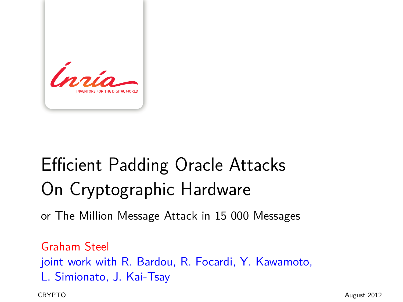

# Efficient Padding Oracle Attacks On Cryptographic Hardware

or The Million Message Attack in 15 000 Messages

Graham Steel joint work with R. Bardou, R. Focardi, Y. Kawamoto, L. Simionato, J. Kai-Tsay

CRYPTO **August 2012**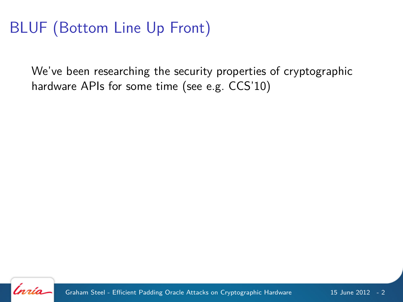We've been researching the security properties of cryptographic hardware APIs for some time (see e.g. CCS'10)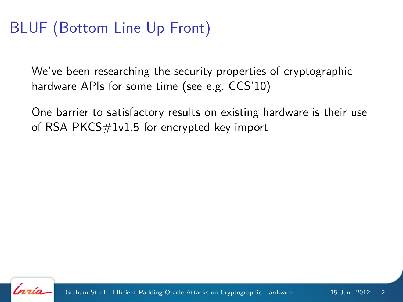We've been researching the security properties of cryptographic hardware APIs for some time (see e.g. CCS'10)

One barrier to satisfactory results on existing hardware is their use of RSA PKCS $\#1v1.5$  for encrypted key import

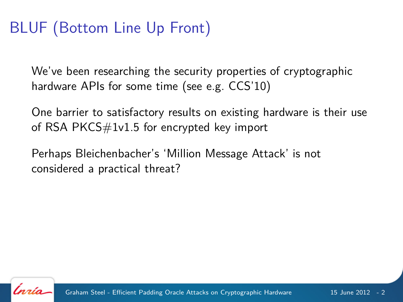We've been researching the security properties of cryptographic hardware APIs for some time (see e.g. CCS'10)

One barrier to satisfactory results on existing hardware is their use of RSA PKCS $\#1v1.5$  for encrypted key import

Perhaps Bleichenbacher's 'Million Message Attack' is not considered a practical threat?

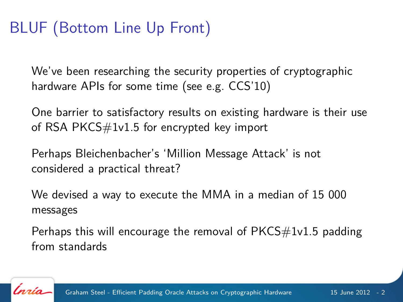We've been researching the security properties of cryptographic hardware APIs for some time (see e.g. CCS'10)

One barrier to satisfactory results on existing hardware is their use of RSA PKCS $\#1v1.5$  for encrypted key import

Perhaps Bleichenbacher's 'Million Message Attack' is not considered a practical threat?

We devised a way to execute the MMA in a median of 15 000 messages

Perhaps this will encourage the removal of  $PKCS\#1v1.5$  padding from standards

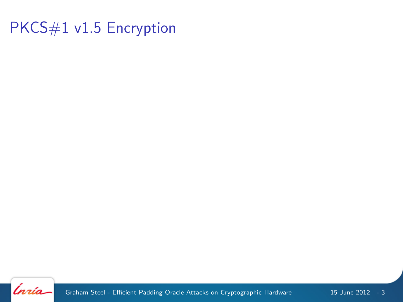# PKCS#1 v1.5 Encryption

Ínrío-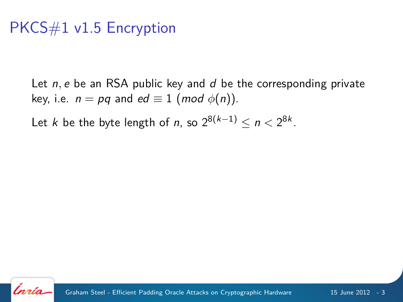Let  $n$ , e be an RSA public key and  $d$  be the corresponding private key, i.e.  $n = pq$  and  $ed \equiv 1 \pmod{\phi(n)}$ .

Let  $k$  be the byte length of  $n$ , so  $2^{8(k-1)} \leq n < 2^{8k}$ .

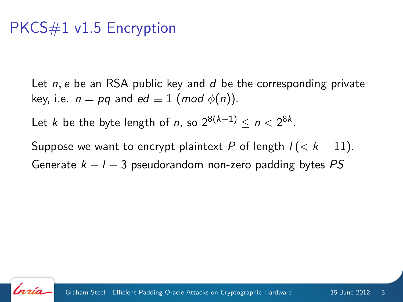Let  $n$ , e be an RSA public key and  $d$  be the corresponding private key, i.e.  $n = pq$  and  $ed \equiv 1 \pmod{\phi(n)}$ .

Let  $k$  be the byte length of  $n$ , so  $2^{8(k-1)} \leq n < 2^{8k}$ .

Suppose we want to encrypt plaintext P of length  $1 < k - 11$ . Generate  $k - l - 3$  pseudorandom non-zero padding bytes PS

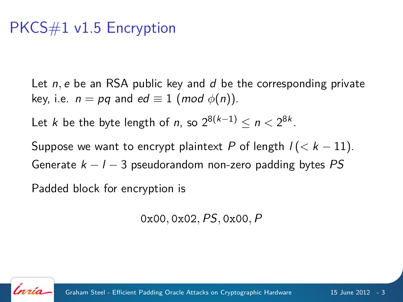Let  $n$ , e be an RSA public key and  $d$  be the corresponding private key, i.e.  $n = pq$  and  $ed \equiv 1 \pmod{\phi(n)}$ .

Let  $k$  be the byte length of  $n$ , so  $2^{8(k-1)} \leq n < 2^{8k}$ .

Suppose we want to encrypt plaintext P of length  $1 < k - 11$ . Generate  $k - l - 3$  pseudorandom non-zero padding bytes PS

Padded block for encryption is

0x00, 0x02, PS, 0x00, P

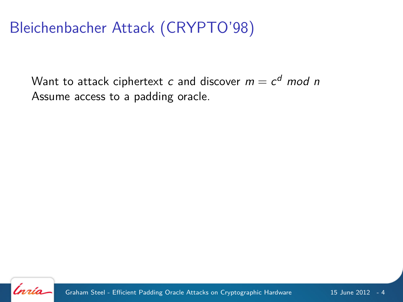# Bleichenbacher Attack (CRYPTO'98)

Want to attack ciphertext  $\,c\,$  and discover  $m=c^{d}\,$  mod  $n$ Assume access to a padding oracle.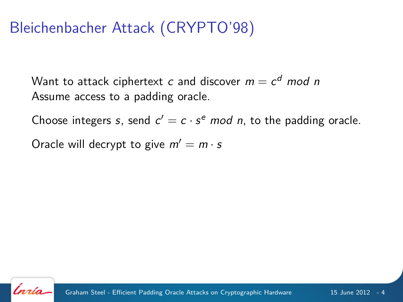# Bleichenbacher Attack (CRYPTO'98)

Want to attack ciphertext  $\,c\,$  and discover  $m=c^{d}\,$  mod  $n$ Assume access to a padding oracle.

Choose integers s, send  $c' = c \cdot s^e \mod n$ , to the padding oracle.

Oracle will decrypt to give  $m' = m \cdot s$ 

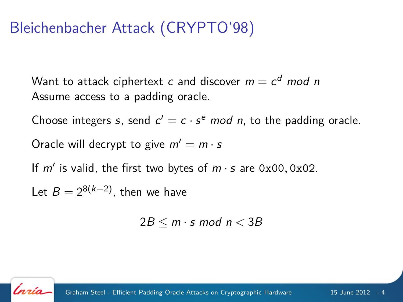# Bleichenbacher Attack (CRYPTO'98)

Want to attack ciphertext  $\,c\,$  and discover  $m=c^{d}\,$  mod  $n$ Assume access to a padding oracle.

Choose integers s, send  $c' = c \cdot s^e \mod n$ , to the padding oracle.

Oracle will decrypt to give  $m' = m \cdot s$ 

If  $m'$  is valid, the first two bytes of  $m \cdot s$  are 0x00, 0x02.

Let  $B=2^{8(k-2)}$ , then we have

 $2B \le m \cdot s \mod n < 3B$ 

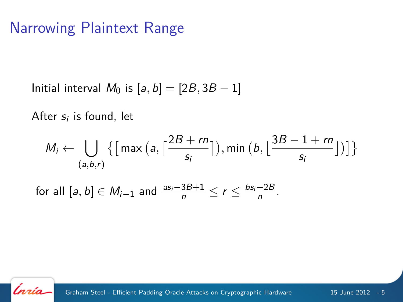### Narrowing Plaintext Range

Initial interval  $M_0$  is  $[a, b] = [2B, 3B - 1]$ 

After *s<sub>i</sub>* is found, let

$$
M_i \leftarrow \bigcup_{(a,b,r)} \{ \left[ \max\left( a, \left\lceil \frac{2B + rn}{s_i} \right\rceil \right), \min\left( b, \left\lfloor \frac{3B - 1 + rn}{s_i} \right\rfloor \right) \right] \}
$$

for all  $[a, b] \in M_{i-1}$  and  $\frac{as_i-3B+1}{n} \le r \le \frac{bs_i-2B}{n}$ .

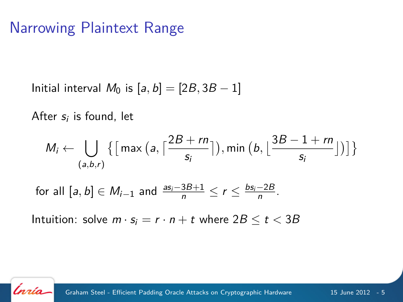## Narrowing Plaintext Range

Initial interval  $M_0$  is [a, b] = [2B, 3B - 1]

After *s<sub>i</sub>* is found, let

$$
M_i \leftarrow \bigcup_{(a,b,r)} \{ \big[ \max\big(a, \big\lceil \frac{2B + rn}{s_i} \big\rceil \big), \min\big(b, \big\lfloor \frac{3B - 1 + rn}{s_i} \big\rfloor \big) \big] \}
$$

for all  $[a, b] \in M_{i-1}$  and  $\frac{as_i-3B+1}{n} \le r \le \frac{bs_i-2B}{n}$ .

Intuition: solve  $m \cdot s_i = r \cdot n + t$  where  $2B \le t \le 3B$ 

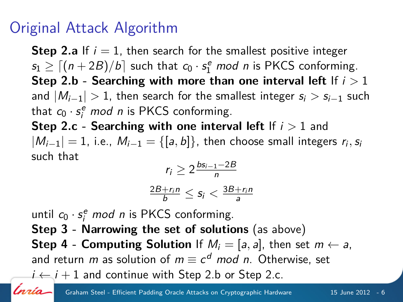# Original Attack Algorithm

**Step 2.a** If  $i = 1$ , then search for the smallest positive integer  $s_1 \ge \lceil (n + 2B)/b \rceil$  such that  $c_0 \cdot s_1^e$  mod n is PKCS conforming. **Step 2.b - Searching with more than one interval left** If  $i > 1$ and  $|M_{i-1}| > 1$ , then search for the smallest integer  $s_i > s_{i-1}$  such that  $c_0 \cdot s_i^e \mod n$  is PKCS conforming. **Step 2.c - Searching with one interval left** If  $i > 1$  and

 $\left| M_{i-1} \right|=1$ , i.e.,  $M_{i-1}=\left\{ \left[ a,b \right] \right\}$ , then choose small integers  $r_i,s_i$ such that

$$
r_i \geq 2\frac{bs_{i-1}-2B}{n}
$$

$$
\frac{2B+r_in}{b}\leq s_i<\frac{3B+r_in}{a}
$$

until  $c_0 \cdot s_i^e$  *mod n* is PKCS conforming. **Step 3 - Narrowing the set of solutions** (as above) **Step 4 - Computing Solution** If  $M_i = [a, a]$ , then set  $m \leftarrow a$ , and return  $m$  as solution of  $m\equiv c^d \mod n.$  Otherwise, set  $i \leftarrow i + 1$  and continue with Step 2.b or Step 2.c.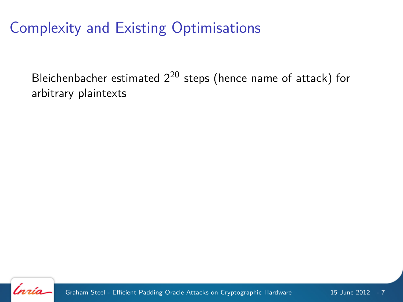Bleichenbacher estimated  $2^{20}$  steps (hence name of attack) for arbitrary plaintexts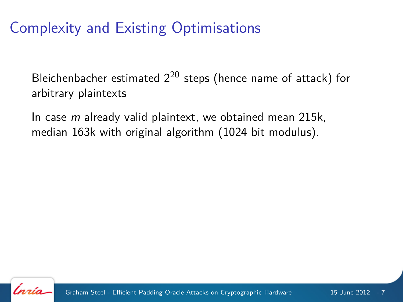Bleichenbacher estimated  $2^{20}$  steps (hence name of attack) for arbitrary plaintexts

In case *m* already valid plaintext, we obtained mean 215k, median 163k with original algorithm (1024 bit modulus).

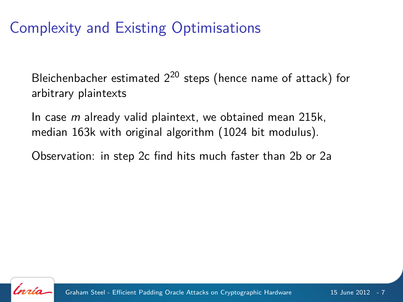Bleichenbacher estimated  $2^{20}$  steps (hence name of attack) for arbitrary plaintexts

In case *m* already valid plaintext, we obtained mean 215k, median 163k with original algorithm (1024 bit modulus).

Observation: in step 2c find hits much faster than 2b or 2a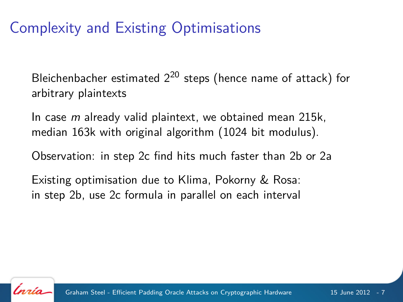Bleichenbacher estimated  $2^{20}$  steps (hence name of attack) for arbitrary plaintexts

In case *m* already valid plaintext, we obtained mean 215k, median 163k with original algorithm (1024 bit modulus).

Observation: in step 2c find hits much faster than 2b or 2a

Existing optimisation due to Klima, Pokorny & Rosa: in step 2b, use 2c formula in parallel on each interval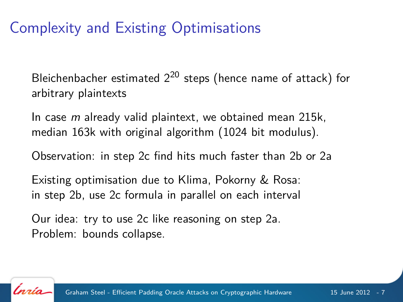Bleichenbacher estimated  $2^{20}$  steps (hence name of attack) for arbitrary plaintexts

In case *m* already valid plaintext, we obtained mean 215k, median 163k with original algorithm (1024 bit modulus).

Observation: in step 2c find hits much faster than 2b or 2a

Existing optimisation due to Klima, Pokorny & Rosa: in step 2b, use 2c formula in parallel on each interval

Our idea: try to use 2c like reasoning on step 2a. Problem: bounds collapse.

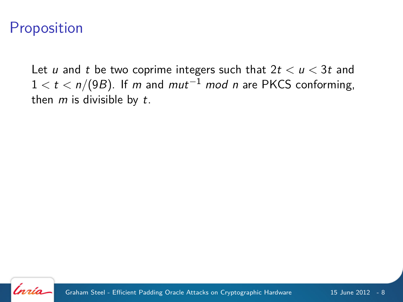#### Proposition

Let u and t be two coprime integers such that  $2t < u < 3t$  and  $1 < t < n/(9B)$ . If m and mut<sup>-1</sup> mod n are PKCS conforming, then  $m$  is divisible by  $t$ .

río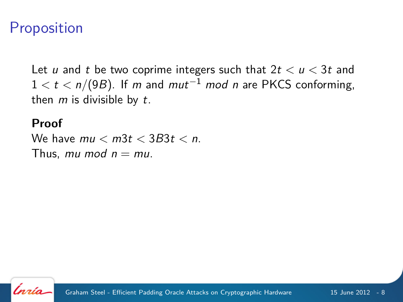#### Proposition

Let u and t be two coprime integers such that  $2t < u < 3t$  and  $1 < t < n/(9B)$ . If m and mut<sup>-1</sup> mod n are PKCS conforming, then  $m$  is divisible by  $t$ .

#### **Proof**

We have  $mu < m3t < 3B3t < n$ . Thus, mu mod  $n = mu$ .

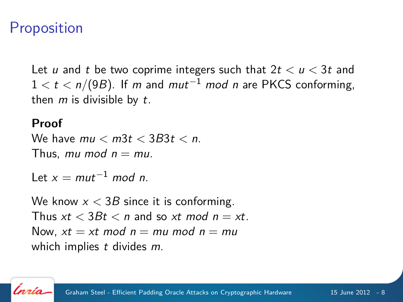## Proposition

Let u and t be two coprime integers such that  $2t < u < 3t$  and  $1 < t < n/(9B)$ . If m and mut<sup>-1</sup> mod n are PKCS conforming, then  $m$  is divisible by  $t$ .

#### **Proof**

We have  $mu < m3t < 3B3t < n$ . Thus, mu mod  $n = mu$ .

Let  $x = mut^{-1} \mod n$ .

We know  $x < 3B$  since it is conforming. Thus  $xt < 3Bt < n$  and so xt mod  $n = xt$ . Now,  $xt = xt \mod n = mu \mod n = mu$ which implies  $t$  divides  $m$ .

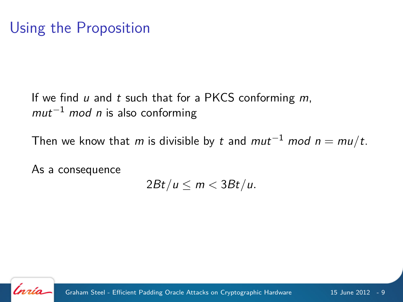If we find  $u$  and  $t$  such that for a PKCS conforming  $m$ ,  $mut^{-1}$  mod n is also conforming

Then we know that m is divisible by t and mut<sup>-1</sup> mod  $n = mu/t$ .

As a consequence

 $2Bt/u \le m \lt 3Bt/u$ .

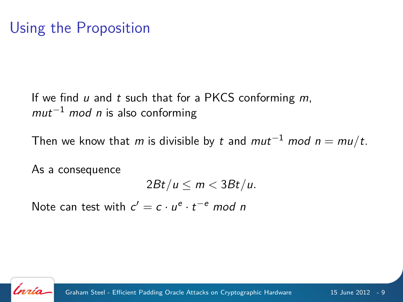If we find  $u$  and  $t$  such that for a PKCS conforming  $m$ ,  $mut^{-1}$  mod n is also conforming

Then we know that m is divisible by t and mut<sup>-1</sup> mod  $n = mu/t$ .

As a consequence

 $2Bt/u \le m < 3Bt/u$ .

Note can test with  $c' = c \cdot u^e \cdot t^{-e} \mod n$ 

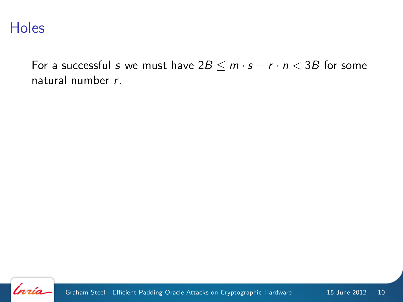#### **Holes**

For a successful s we must have  $2B \le m \cdot s - r \cdot n < 3B$  for some natural number r.

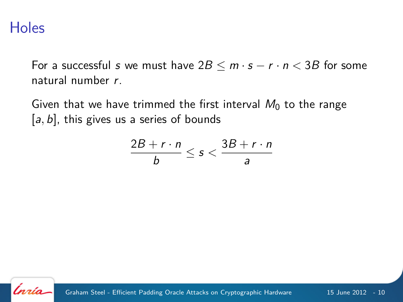#### **Holes**

For a successful s we must have  $2B \le m \cdot s - r \cdot n < 3B$  for some natural number r.

Given that we have trimmed the first interval  $M_0$  to the range  $[a, b]$ , this gives us a series of bounds

$$
\frac{2B+r\cdot n}{b}\leq s<\frac{3B+r\cdot n}{a}
$$

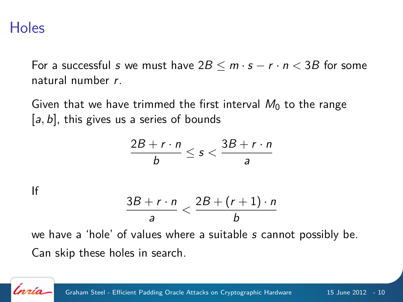#### **Holes**

For a successful s we must have  $2B \le m \cdot s - r \cdot n < 3B$  for some natural number r.

Given that we have trimmed the first interval  $M_0$  to the range  $[a, b]$ , this gives us a series of bounds

$$
\frac{2B+r\cdot n}{b}\leq s<\frac{3B+r\cdot n}{a}
$$

If

$$
\frac{3B+r\cdot n}{a} < \frac{2B+(r+1)\cdot n}{b}
$$

we have a 'hole' of values where a suitable s cannot possibly be. Can skip these holes in search.

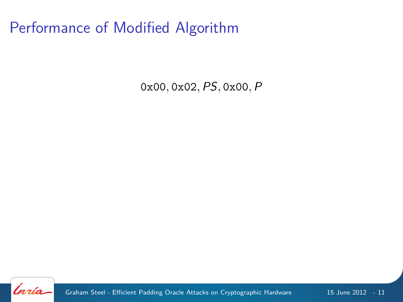# Performance of Modified Algorithm

0x00, 0x02, PS, 0x00, P

'nrío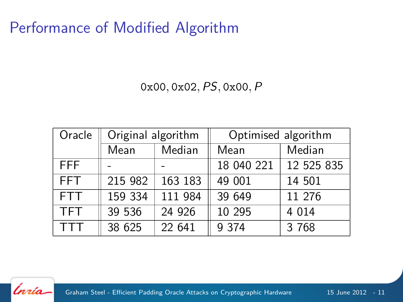# Performance of Modified Algorithm

#### 0x00, 0x02, PS, 0x00, P

| Oracle     | Original algorithm |         | Optimised algorithm |            |  |
|------------|--------------------|---------|---------------------|------------|--|
|            | Mean               | Median  | Mean                | Median     |  |
| FFF.       |                    |         | 18 040 221          | 12 525 835 |  |
| <b>FFT</b> | 215 982            | 163 183 | 49 001              | 14 501     |  |
| <b>FTT</b> | 159 334            | 111 984 | 39 649              | 11 276     |  |
| <b>TFT</b> | 39 536             | 24 9 26 | 10295               | 4 0 1 4    |  |
| <b>TTT</b> | 38 625             | 22 641  | 9 3 7 4             | 3 7 6 8    |  |

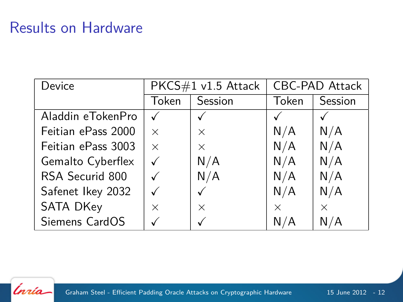## Results on Hardware

| Device             | $PKCS#1 v1.5$ Attack |          | CBC-PAD Attack |          |
|--------------------|----------------------|----------|----------------|----------|
|                    | Token                | Session  | Token          | Session  |
| Aladdin eTokenPro  |                      |          |                |          |
| Feitian ePass 2000 | $\times$             | X        | N/A            | N/A      |
| Feitian ePass 3003 | $\times$             | $\times$ | N/A            | N/A      |
| Gemalto Cyberflex  |                      | N/A      | N/A            | N/A      |
| RSA Securid 800    |                      | N/A      | N/A            | N/A      |
| Safenet Ikey 2032  |                      |          | N/A            | N/A      |
| SATA DKey          | X                    | $\times$ | $\times$       | $\times$ |
| Siemens CardOS     |                      |          |                |          |

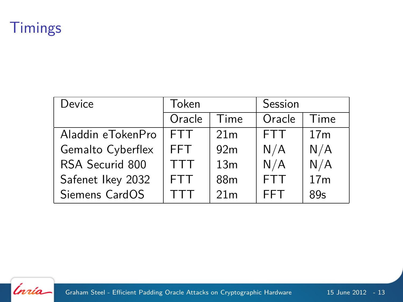# Timings

| Device            | Token      |                 | Session    |                 |
|-------------------|------------|-----------------|------------|-----------------|
|                   | Oracle     | Time            | Oracle     | Time            |
| Aladdin eTokenPro | <b>FTT</b> | 21 <sub>m</sub> | <b>FTT</b> | 17 <sub>m</sub> |
| Gemalto Cyberflex | FFT.       | 92m             | N/A        | N/A             |
| RSA Securid 800   | TTT        | 13 <sub>m</sub> | N/A        | N/A             |
| Safenet Ikey 2032 | FTT.       | 88m             | <b>FTT</b> | 17 <sub>m</sub> |
| Siemens CardOS    |            | 21 <sub>m</sub> | FFT        | 89s             |

Ínría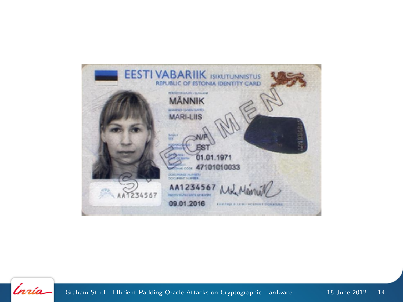

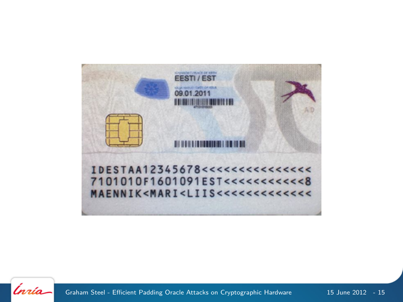

'nrío-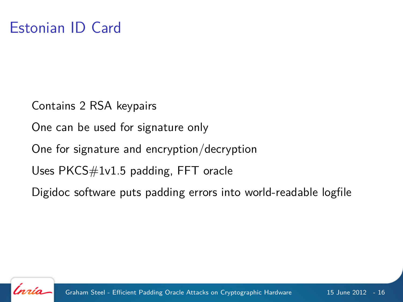Contains 2 RSA keypairs

One can be used for signature only

One for signature and encryption/decryption

Uses PKCS#1v1.5 padding, FFT oracle

Digidoc software puts padding errors into world-readable logfile

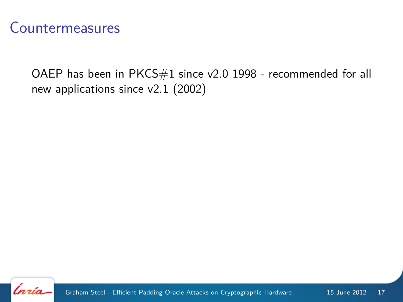OAEP has been in PKCS#1 since v2.0 1998 - recommended for all new applications since v2.1 (2002)

'nrío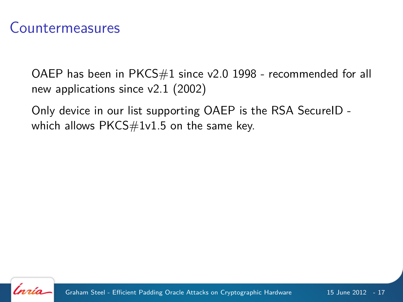OAEP has been in PKCS#1 since v2.0 1998 - recommended for all new applications since v2.1 (2002)

Only device in our list supporting OAEP is the RSA SecureID which allows  $PKCS#1v1.5$  on the same key.

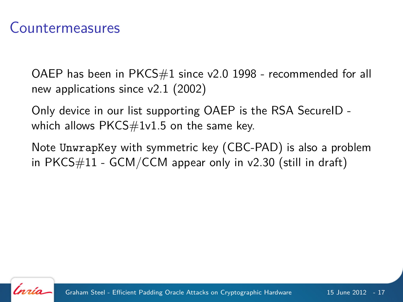OAEP has been in PKCS#1 since v2.0 1998 - recommended for all new applications since v2.1 (2002)

Only device in our list supporting OAEP is the RSA SecureID which allows  $PKCS#1v1.5$  on the same key.

Note UnwrapKey with symmetric key (CBC-PAD) is also a problem in PKCS#11 - GCM/CCM appear only in v2.30 (still in draft)

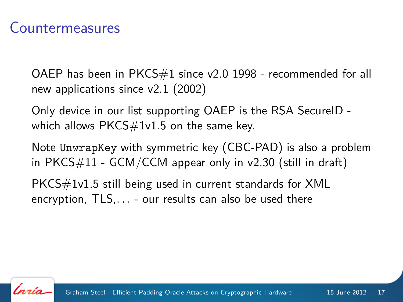OAEP has been in PKCS#1 since v2.0 1998 - recommended for all new applications since v2.1 (2002)

Only device in our list supporting OAEP is the RSA SecureID which allows  $PKCS#1v1.5$  on the same key.

Note UnwrapKey with symmetric key (CBC-PAD) is also a problem in PKCS#11 - GCM/CCM appear only in v2.30 (still in draft)

PKCS#1v1.5 still being used in current standards for XML encryption, TLS,. . . - our results can also be used there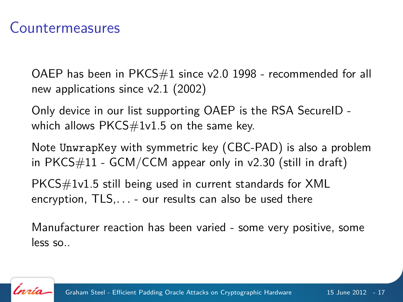OAEP has been in PKCS#1 since v2.0 1998 - recommended for all new applications since v2.1 (2002)

Only device in our list supporting OAEP is the RSA SecureID which allows  $PKCS#1v1.5$  on the same key.

Note UnwrapKey with symmetric key (CBC-PAD) is also a problem in PKCS#11 - GCM/CCM appear only in v2.30 (still in draft)

PKCS#1v1.5 still being used in current standards for XML encryption, TLS,. . . - our results can also be used there

Manufacturer reaction has been varied - some very positive, some less so..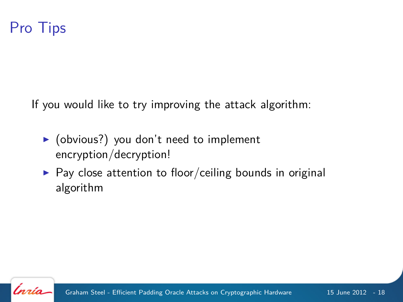If you would like to try improving the attack algorithm:

- $\rightarrow$  (obvious?) you don't need to implement encryption/decryption!
- $\blacktriangleright$  Pay close attention to floor/ceiling bounds in original algorithm